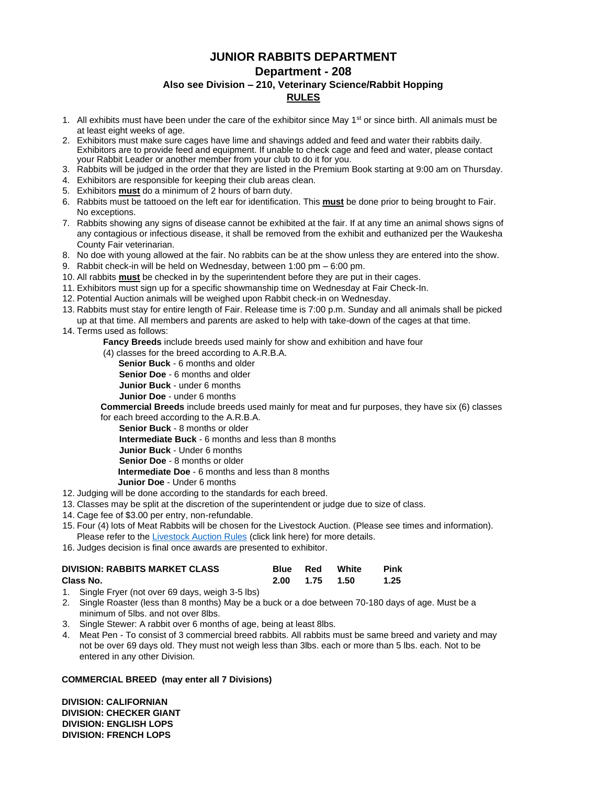# **JUNIOR RABBITS DEPARTMENT**

# **Department - 208**

# **Also see Division – 210, Veterinary Science/Rabbit Hopping**

### **RULES**

- 1. All exhibits must have been under the care of the exhibitor since May  $1<sup>st</sup>$  or since birth. All animals must be at least eight weeks of age.
- 2. Exhibitors must make sure cages have lime and shavings added and feed and water their rabbits daily. Exhibitors are to provide feed and equipment. If unable to check cage and feed and water, please contact your Rabbit Leader or another member from your club to do it for you.
- 3. Rabbits will be judged in the order that they are listed in the Premium Book starting at 9:00 am on Thursday.
- 4. Exhibitors are responsible for keeping their club areas clean.
- 5. Exhibitors **must** do a minimum of 2 hours of barn duty.
- 6. Rabbits must be tattooed on the left ear for identification. This **must** be done prior to being brought to Fair. No exceptions.
- 7. Rabbits showing any signs of disease cannot be exhibited at the fair. If at any time an animal shows signs of any contagious or infectious disease, it shall be removed from the exhibit and euthanized per the Waukesha County Fair veterinarian.
- 8. No doe with young allowed at the fair. No rabbits can be at the show unless they are entered into the show.
- 9. Rabbit check-in will be held on Wednesday, between 1:00 pm 6:00 pm.
- 10. All rabbits **must** be checked in by the superintendent before they are put in their cages.
- 11. Exhibitors must sign up for a specific showmanship time on Wednesday at Fair Check-In.
- 12. Potential Auction animals will be weighed upon Rabbit check-in on Wednesday.
- 13. Rabbits must stay for entire length of Fair. Release time is 7:00 p.m. Sunday and all animals shall be picked up at that time. All members and parents are asked to help with take-down of the cages at that time.
- 14. Terms used as follows:
	- **Fancy Breeds** include breeds used mainly for show and exhibition and have four
	- (4) classes for the breed according to A.R.B.A.
		- **Senior Buck** 6 months and older
		- **Senior Doe** 6 months and older
		- **Junior Buck** under 6 months
		- **Junior Doe** under 6 months

**Commercial Breeds** include breeds used mainly for meat and fur purposes, they have six (6) classes for each breed according to the A.R.B.A.

 **Senior Buck** - 8 months or older

 **Intermediate Buck** - 6 months and less than 8 months

- **Junior Buck** Under 6 months
- **Senior Doe** 8 months or older

 **Intermediate Doe** - 6 months and less than 8 months

- **Junior Doe** Under 6 months
- 12. Judging will be done according to the standards for each breed.
- 13. Classes may be split at the discretion of the superintendent or judge due to size of class.
- 14. Cage fee of \$3.00 per entry, non-refundable.
- 15. Four (4) lots of Meat Rabbits will be chosen for the Livestock Auction. (Please see times and information). Please refer to the [Livestock Auction Rules](https://www.waukeshacountyfair.com/wp-content/uploads/2022/03/2022-LivestockAUCTIONRules.pdf) (click link here) for more details.
- 16. Judges decision is final once awards are presented to exhibitor.

| <b>DIVISION: RABBITS MARKET CLASS</b> | Blue Red |                | White | Pink |
|---------------------------------------|----------|----------------|-------|------|
| Class No.                             |          | 2.00 1.75 1.50 |       | 1.25 |

- 1. Single Fryer (not over 69 days, weigh 3-5 lbs)
- 2. Single Roaster (less than 8 months) May be a buck or a doe between 70-180 days of age. Must be a minimum of 5lbs. and not over 8lbs.
- 3. Single Stewer: A rabbit over 6 months of age, being at least 8lbs.
- 4. Meat Pen To consist of 3 commercial breed rabbits. All rabbits must be same breed and variety and may not be over 69 days old. They must not weigh less than 3lbs. each or more than 5 lbs. each. Not to be entered in any other Division.

### **COMMERCIAL BREED (may enter all 7 Divisions)**

**DIVISION: CALIFORNIAN DIVISION: CHECKER GIANT DIVISION: ENGLISH LOPS DIVISION: FRENCH LOPS**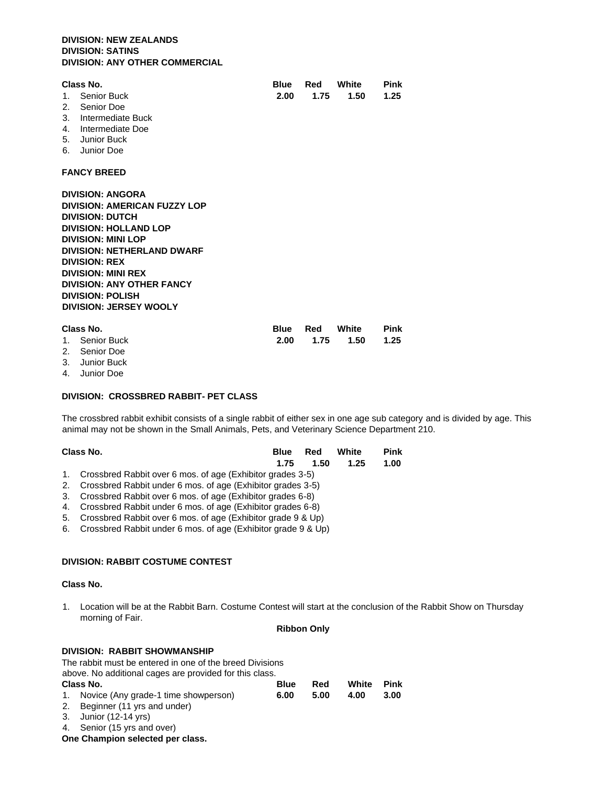### **DIVISION: NEW ZEALANDS DIVISION: SATINS DIVISION: ANY OTHER COMMERCIAL**

| Class No.      | <b>Blue</b> | Red | White          | <b>Pink</b> |
|----------------|-------------|-----|----------------|-------------|
| 1. Senior Buck |             |     | 2.00 1.75 1.50 | $-1.25$     |
| 2. Senior Doe  |             |     |                |             |

- 3. Intermediate Buck
- 4. Intermediate Doe
- 5. Junior Buck
- 6. Junior Doe

### **FANCY BREED**

| <b>DIVISION: ANGORA</b>             |             |      |       |      |
|-------------------------------------|-------------|------|-------|------|
| <b>DIVISION: AMERICAN FUZZY LOP</b> |             |      |       |      |
| <b>DIVISION: DUTCH</b>              |             |      |       |      |
| <b>DIVISION: HOLLAND LOP</b>        |             |      |       |      |
| <b>DIVISION: MINI LOP</b>           |             |      |       |      |
| <b>DIVISION: NETHERLAND DWARF</b>   |             |      |       |      |
| <b>DIVISION: REX</b>                |             |      |       |      |
| <b>DIVISION: MINI REX</b>           |             |      |       |      |
| DIVISION: ANY OTHER FANCY           |             |      |       |      |
| <b>DIVISION: POLISH</b>             |             |      |       |      |
| DIVISION: JERSEY WOOLY              |             |      |       |      |
| Class No.                           | <b>Blue</b> | Red  | White | Pink |
| 1. Senior Buck                      | 2.00        | 1.75 | 1.50  | 1.25 |

- 
- 2. Senior Doe
- 3. Junior Buck
- 4. Junior Doe

### **DIVISION: CROSSBRED RABBIT- PET CLASS**

The crossbred rabbit exhibit consists of a single rabbit of either sex in one age sub category and is divided by age. This animal may not be shown in the Small Animals, Pets, and Veterinary Science Department 210.

| Class No.                                                     | <b>Blue</b> | Red       | White | <b>Pink</b> |
|---------------------------------------------------------------|-------------|-----------|-------|-------------|
|                                                               |             | 1.75 1.50 | 1.25  | 1.00        |
| 1. Crossbred Rabbit over 6 mos. of age (Exhibitor grades 3-5) |             |           |       |             |

- 2. Crossbred Rabbit under 6 mos. of age (Exhibitor grades 3-5)
- 3. Crossbred Rabbit over 6 mos. of age (Exhibitor grades 6-8)
- 4. Crossbred Rabbit under 6 mos. of age (Exhibitor grades 6-8)
- 5. Crossbred Rabbit over 6 mos. of age (Exhibitor grade 9 & Up)
- 6. Crossbred Rabbit under 6 mos. of age (Exhibitor grade 9 & Up)

# **DIVISION: RABBIT COSTUME CONTEST**

### **Class No.**

1. Location will be at the Rabbit Barn. Costume Contest will start at the conclusion of the Rabbit Show on Thursday morning of Fair.

**Ribbon Only**

| DIVISION: RABBIT SHOWMANSHIP<br>The rabbit must be entered in one of the breed Divisions<br>above. No additional cages are provided for this class. |                                      |             |      |       |             |  |
|-----------------------------------------------------------------------------------------------------------------------------------------------------|--------------------------------------|-------------|------|-------|-------------|--|
|                                                                                                                                                     | Class No.                            | <b>Blue</b> | Red  | White | <b>Pink</b> |  |
| $\mathbf{1}$ .                                                                                                                                      | Novice (Any grade-1 time showperson) | 6.00        | 5.00 | 4.00  | 3.00        |  |
| 2.                                                                                                                                                  | Beginner (11 yrs and under)          |             |      |       |             |  |
| 3.                                                                                                                                                  | Junior (12-14 yrs)                   |             |      |       |             |  |
| 4.                                                                                                                                                  | Senior (15 yrs and over)             |             |      |       |             |  |
|                                                                                                                                                     | One Champion selected per class.     |             |      |       |             |  |